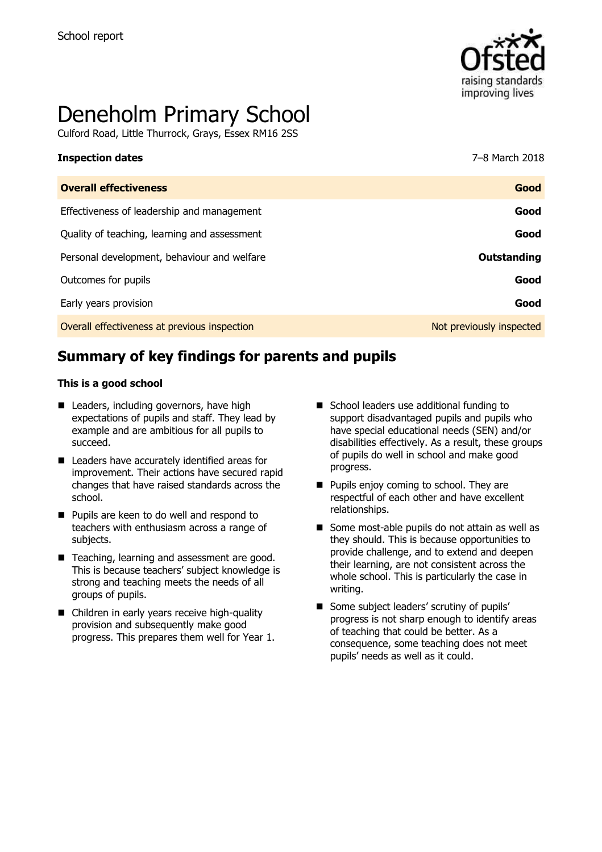

# Deneholm Primary School

Culford Road, Little Thurrock, Grays, Essex RM16 2SS

| <b>Inspection dates</b>                      | 7-8 March 2018           |
|----------------------------------------------|--------------------------|
| <b>Overall effectiveness</b>                 | Good                     |
| Effectiveness of leadership and management   | Good                     |
| Quality of teaching, learning and assessment | Good                     |
| Personal development, behaviour and welfare  | Outstanding              |
| Outcomes for pupils                          | Good                     |
| Early years provision                        | Good                     |
| Overall effectiveness at previous inspection | Not previously inspected |
|                                              |                          |

## **Summary of key findings for parents and pupils**

#### **This is a good school**

- Leaders, including governors, have high expectations of pupils and staff. They lead by example and are ambitious for all pupils to succeed.
- **Leaders have accurately identified areas for** improvement. Their actions have secured rapid changes that have raised standards across the school.
- **Pupils are keen to do well and respond to** teachers with enthusiasm across a range of subjects.
- Teaching, learning and assessment are good. This is because teachers' subject knowledge is strong and teaching meets the needs of all groups of pupils.
- Children in early years receive high-quality provision and subsequently make good progress. This prepares them well for Year 1.
- School leaders use additional funding to support disadvantaged pupils and pupils who have special educational needs (SEN) and/or disabilities effectively. As a result, these groups of pupils do well in school and make good progress.
- **Pupils enjoy coming to school. They are** respectful of each other and have excellent relationships.
- Some most-able pupils do not attain as well as they should. This is because opportunities to provide challenge, and to extend and deepen their learning, are not consistent across the whole school. This is particularly the case in writing.
- Some subject leaders' scrutiny of pupils' progress is not sharp enough to identify areas of teaching that could be better. As a consequence, some teaching does not meet pupils' needs as well as it could.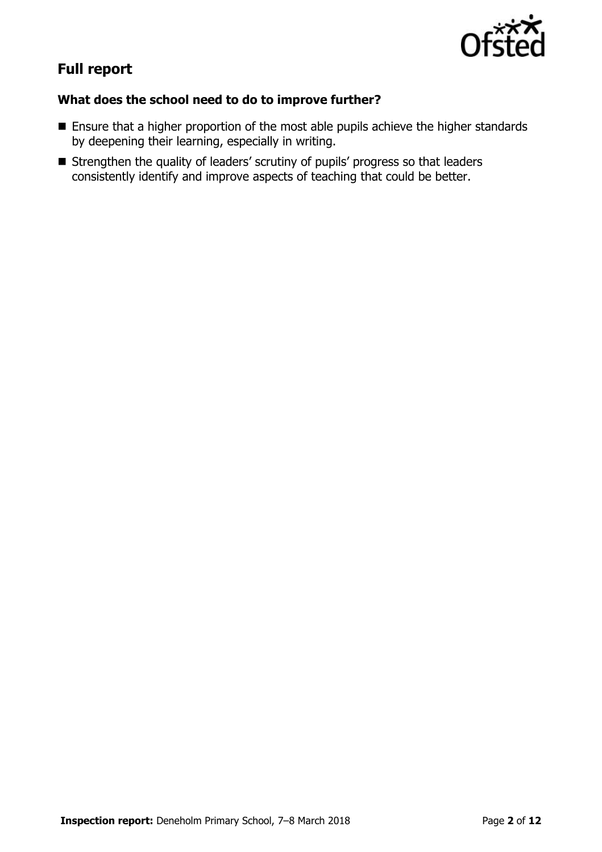

# **Full report**

## **What does the school need to do to improve further?**

- **Ensure that a higher proportion of the most able pupils achieve the higher standards** by deepening their learning, especially in writing.
- Strengthen the quality of leaders' scrutiny of pupils' progress so that leaders consistently identify and improve aspects of teaching that could be better.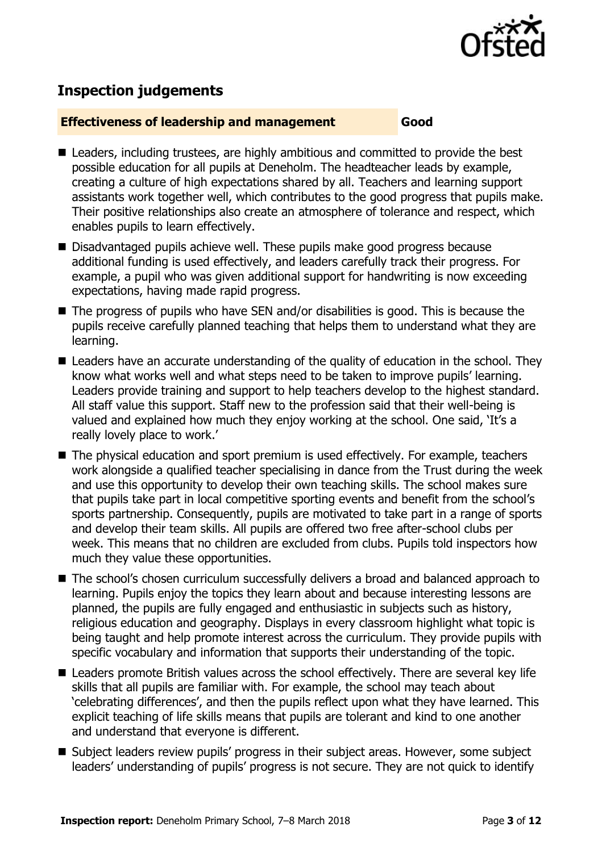

## **Inspection judgements**

#### **Effectiveness of leadership and management Good**

- Leaders, including trustees, are highly ambitious and committed to provide the best possible education for all pupils at Deneholm. The headteacher leads by example, creating a culture of high expectations shared by all. Teachers and learning support assistants work together well, which contributes to the good progress that pupils make. Their positive relationships also create an atmosphere of tolerance and respect, which enables pupils to learn effectively.
- Disadvantaged pupils achieve well. These pupils make good progress because additional funding is used effectively, and leaders carefully track their progress. For example, a pupil who was given additional support for handwriting is now exceeding expectations, having made rapid progress.
- The progress of pupils who have SEN and/or disabilities is good. This is because the pupils receive carefully planned teaching that helps them to understand what they are learning.
- Leaders have an accurate understanding of the quality of education in the school. They know what works well and what steps need to be taken to improve pupils' learning. Leaders provide training and support to help teachers develop to the highest standard. All staff value this support. Staff new to the profession said that their well-being is valued and explained how much they enjoy working at the school. One said, 'It's a really lovely place to work.'
- The physical education and sport premium is used effectively. For example, teachers work alongside a qualified teacher specialising in dance from the Trust during the week and use this opportunity to develop their own teaching skills. The school makes sure that pupils take part in local competitive sporting events and benefit from the school's sports partnership. Consequently, pupils are motivated to take part in a range of sports and develop their team skills. All pupils are offered two free after-school clubs per week. This means that no children are excluded from clubs. Pupils told inspectors how much they value these opportunities.
- The school's chosen curriculum successfully delivers a broad and balanced approach to learning. Pupils enjoy the topics they learn about and because interesting lessons are planned, the pupils are fully engaged and enthusiastic in subjects such as history, religious education and geography. Displays in every classroom highlight what topic is being taught and help promote interest across the curriculum. They provide pupils with specific vocabulary and information that supports their understanding of the topic.
- Leaders promote British values across the school effectively. There are several key life skills that all pupils are familiar with. For example, the school may teach about 'celebrating differences', and then the pupils reflect upon what they have learned. This explicit teaching of life skills means that pupils are tolerant and kind to one another and understand that everyone is different.
- Subject leaders review pupils' progress in their subject areas. However, some subject leaders' understanding of pupils' progress is not secure. They are not quick to identify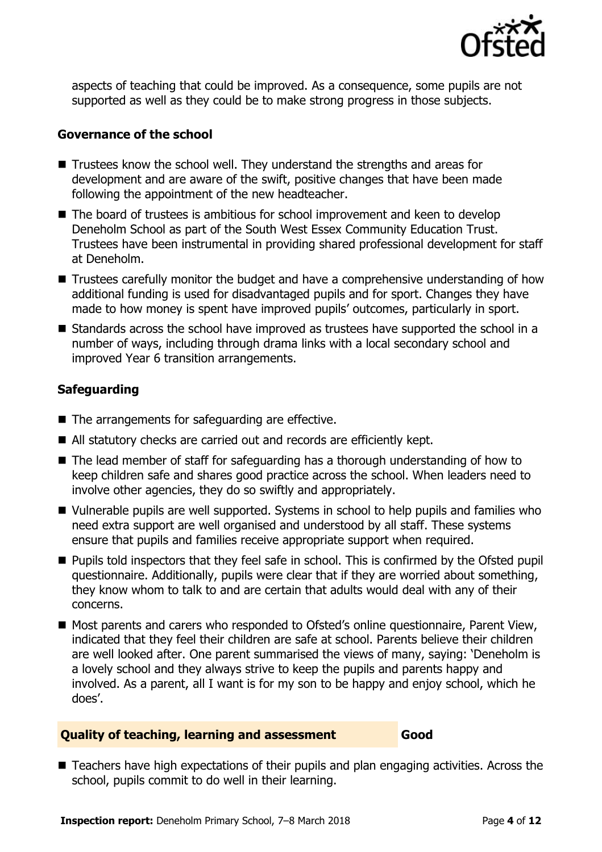

aspects of teaching that could be improved. As a consequence, some pupils are not supported as well as they could be to make strong progress in those subjects.

#### **Governance of the school**

- Trustees know the school well. They understand the strengths and areas for development and are aware of the swift, positive changes that have been made following the appointment of the new headteacher.
- The board of trustees is ambitious for school improvement and keen to develop Deneholm School as part of the South West Essex Community Education Trust. Trustees have been instrumental in providing shared professional development for staff at Deneholm.
- Trustees carefully monitor the budget and have a comprehensive understanding of how additional funding is used for disadvantaged pupils and for sport. Changes they have made to how money is spent have improved pupils' outcomes, particularly in sport.
- Standards across the school have improved as trustees have supported the school in a number of ways, including through drama links with a local secondary school and improved Year 6 transition arrangements.

## **Safeguarding**

- $\blacksquare$  The arrangements for safeguarding are effective.
- All statutory checks are carried out and records are efficiently kept.
- The lead member of staff for safeguarding has a thorough understanding of how to keep children safe and shares good practice across the school. When leaders need to involve other agencies, they do so swiftly and appropriately.
- Vulnerable pupils are well supported. Systems in school to help pupils and families who need extra support are well organised and understood by all staff. These systems ensure that pupils and families receive appropriate support when required.
- **Pupils told inspectors that they feel safe in school. This is confirmed by the Ofsted pupil** questionnaire. Additionally, pupils were clear that if they are worried about something, they know whom to talk to and are certain that adults would deal with any of their concerns.
- Most parents and carers who responded to Ofsted's online questionnaire, Parent View, indicated that they feel their children are safe at school. Parents believe their children are well looked after. One parent summarised the views of many, saying: 'Deneholm is a lovely school and they always strive to keep the pupils and parents happy and involved. As a parent, all I want is for my son to be happy and enjoy school, which he does'.

#### **Quality of teaching, learning and assessment Good**

■ Teachers have high expectations of their pupils and plan engaging activities. Across the school, pupils commit to do well in their learning.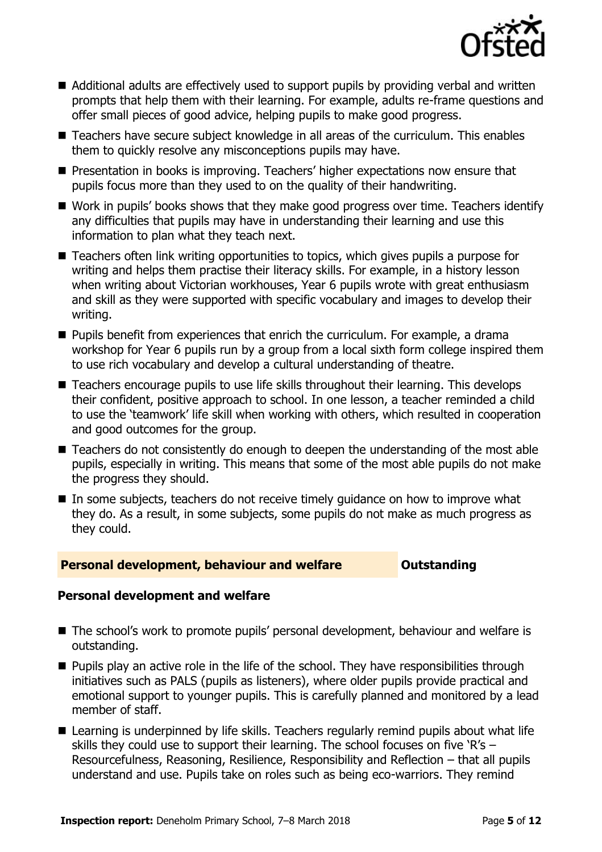

- Additional adults are effectively used to support pupils by providing verbal and written prompts that help them with their learning. For example, adults re-frame questions and offer small pieces of good advice, helping pupils to make good progress.
- Teachers have secure subject knowledge in all areas of the curriculum. This enables them to quickly resolve any misconceptions pupils may have.
- **Presentation in books is improving. Teachers' higher expectations now ensure that** pupils focus more than they used to on the quality of their handwriting.
- Work in pupils' books shows that they make good progress over time. Teachers identify any difficulties that pupils may have in understanding their learning and use this information to plan what they teach next.
- Teachers often link writing opportunities to topics, which gives pupils a purpose for writing and helps them practise their literacy skills. For example, in a history lesson when writing about Victorian workhouses, Year 6 pupils wrote with great enthusiasm and skill as they were supported with specific vocabulary and images to develop their writing.
- **Pupils benefit from experiences that enrich the curriculum. For example, a drama** workshop for Year 6 pupils run by a group from a local sixth form college inspired them to use rich vocabulary and develop a cultural understanding of theatre.
- Teachers encourage pupils to use life skills throughout their learning. This develops their confident, positive approach to school. In one lesson, a teacher reminded a child to use the 'teamwork' life skill when working with others, which resulted in cooperation and good outcomes for the group.
- Teachers do not consistently do enough to deepen the understanding of the most able pupils, especially in writing. This means that some of the most able pupils do not make the progress they should.
- In some subjects, teachers do not receive timely guidance on how to improve what they do. As a result, in some subjects, some pupils do not make as much progress as they could.

#### **Personal development, behaviour and welfare <b>COULTS** Outstanding

## **Personal development and welfare**

- The school's work to promote pupils' personal development, behaviour and welfare is outstanding.
- **Pupils play an active role in the life of the school. They have responsibilities through** initiatives such as PALS (pupils as listeners), where older pupils provide practical and emotional support to younger pupils. This is carefully planned and monitored by a lead member of staff.
- Learning is underpinned by life skills. Teachers regularly remind pupils about what life skills they could use to support their learning. The school focuses on five 'R's – Resourcefulness, Reasoning, Resilience, Responsibility and Reflection – that all pupils understand and use. Pupils take on roles such as being eco-warriors. They remind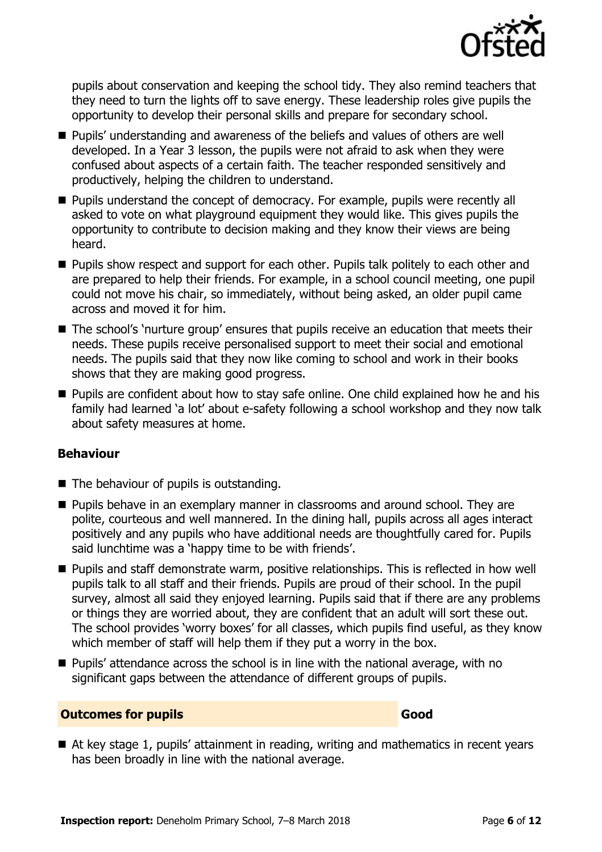

pupils about conservation and keeping the school tidy. They also remind teachers that they need to turn the lights off to save energy. These leadership roles give pupils the opportunity to develop their personal skills and prepare for secondary school.

- **Pupils' understanding and awareness of the beliefs and values of others are well** developed. In a Year 3 lesson, the pupils were not afraid to ask when they were confused about aspects of a certain faith. The teacher responded sensitively and productively, helping the children to understand.
- **Pupils understand the concept of democracy. For example, pupils were recently all** asked to vote on what playground equipment they would like. This gives pupils the opportunity to contribute to decision making and they know their views are being heard.
- **Pupils show respect and support for each other. Pupils talk politely to each other and** are prepared to help their friends. For example, in a school council meeting, one pupil could not move his chair, so immediately, without being asked, an older pupil came across and moved it for him.
- The school's 'nurture group' ensures that pupils receive an education that meets their needs. These pupils receive personalised support to meet their social and emotional needs. The pupils said that they now like coming to school and work in their books shows that they are making good progress.
- **Pupils are confident about how to stay safe online. One child explained how he and his** family had learned 'a lot' about e-safety following a school workshop and they now talk about safety measures at home.

## **Behaviour**

- $\blacksquare$  The behaviour of pupils is outstanding.
- **Pupils behave in an exemplary manner in classrooms and around school. They are** polite, courteous and well mannered. In the dining hall, pupils across all ages interact positively and any pupils who have additional needs are thoughtfully cared for. Pupils said lunchtime was a 'happy time to be with friends'.
- **Pupils and staff demonstrate warm, positive relationships. This is reflected in how well** pupils talk to all staff and their friends. Pupils are proud of their school. In the pupil survey, almost all said they enjoyed learning. Pupils said that if there are any problems or things they are worried about, they are confident that an adult will sort these out. The school provides 'worry boxes' for all classes, which pupils find useful, as they know which member of staff will help them if they put a worry in the box.
- Pupils' attendance across the school is in line with the national average, with no significant gaps between the attendance of different groups of pupils.

#### **Outcomes for pupils Good**

■ At key stage 1, pupils' attainment in reading, writing and mathematics in recent years has been broadly in line with the national average.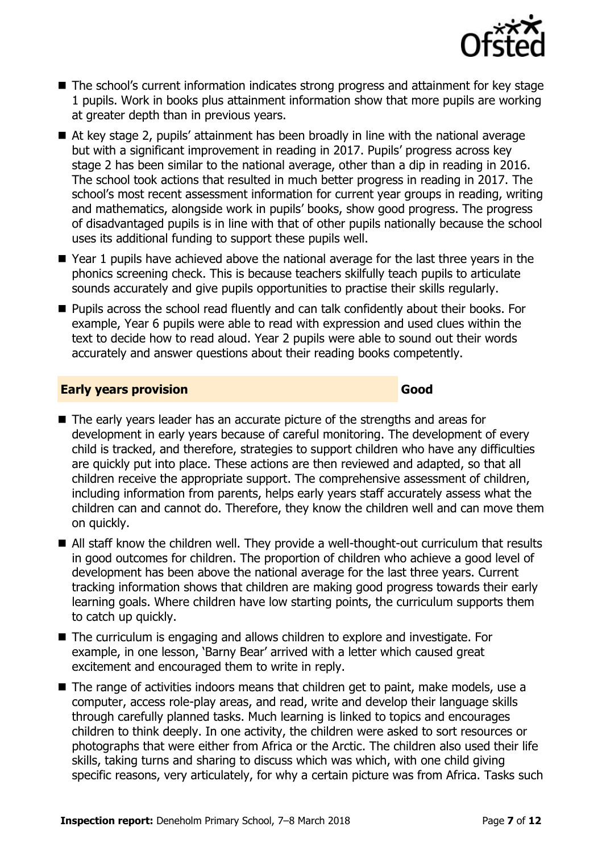

- The school's current information indicates strong progress and attainment for key stage 1 pupils. Work in books plus attainment information show that more pupils are working at greater depth than in previous years.
- At key stage 2, pupils' attainment has been broadly in line with the national average but with a significant improvement in reading in 2017. Pupils' progress across key stage 2 has been similar to the national average, other than a dip in reading in 2016. The school took actions that resulted in much better progress in reading in 2017. The school's most recent assessment information for current year groups in reading, writing and mathematics, alongside work in pupils' books, show good progress. The progress of disadvantaged pupils is in line with that of other pupils nationally because the school uses its additional funding to support these pupils well.
- Year 1 pupils have achieved above the national average for the last three years in the phonics screening check. This is because teachers skilfully teach pupils to articulate sounds accurately and give pupils opportunities to practise their skills regularly.
- **Pupils across the school read fluently and can talk confidently about their books. For** example, Year 6 pupils were able to read with expression and used clues within the text to decide how to read aloud. Year 2 pupils were able to sound out their words accurately and answer questions about their reading books competently.

#### **Early years provision Good Good**

- The early years leader has an accurate picture of the strengths and areas for development in early years because of careful monitoring. The development of every child is tracked, and therefore, strategies to support children who have any difficulties are quickly put into place. These actions are then reviewed and adapted, so that all children receive the appropriate support. The comprehensive assessment of children, including information from parents, helps early years staff accurately assess what the children can and cannot do. Therefore, they know the children well and can move them on quickly.
- All staff know the children well. They provide a well-thought-out curriculum that results in good outcomes for children. The proportion of children who achieve a good level of development has been above the national average for the last three years. Current tracking information shows that children are making good progress towards their early learning goals. Where children have low starting points, the curriculum supports them to catch up quickly.
- The curriculum is engaging and allows children to explore and investigate. For example, in one lesson, 'Barny Bear' arrived with a letter which caused great excitement and encouraged them to write in reply.
- The range of activities indoors means that children get to paint, make models, use a computer, access role-play areas, and read, write and develop their language skills through carefully planned tasks. Much learning is linked to topics and encourages children to think deeply. In one activity, the children were asked to sort resources or photographs that were either from Africa or the Arctic. The children also used their life skills, taking turns and sharing to discuss which was which, with one child giving specific reasons, very articulately, for why a certain picture was from Africa. Tasks such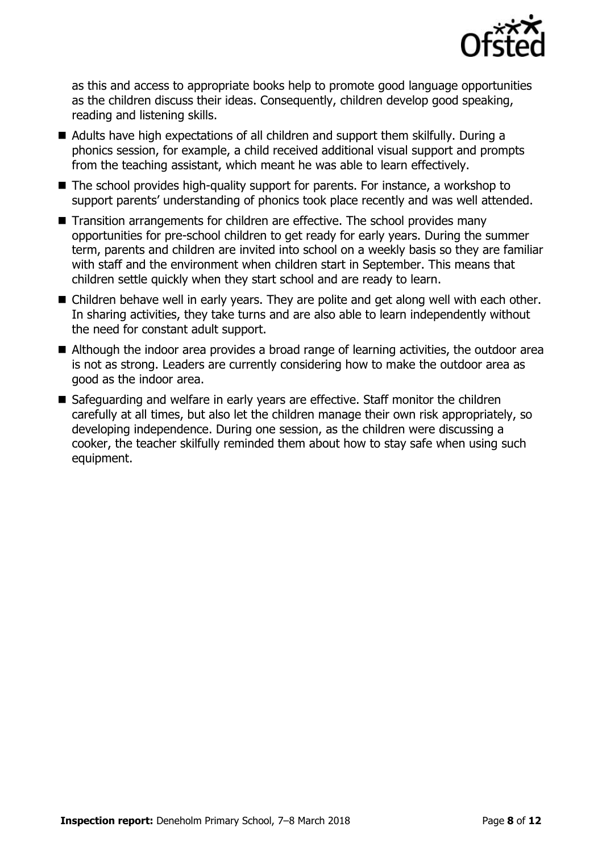

as this and access to appropriate books help to promote good language opportunities as the children discuss their ideas. Consequently, children develop good speaking, reading and listening skills.

- Adults have high expectations of all children and support them skilfully. During a phonics session, for example, a child received additional visual support and prompts from the teaching assistant, which meant he was able to learn effectively.
- The school provides high-quality support for parents. For instance, a workshop to support parents' understanding of phonics took place recently and was well attended.
- Transition arrangements for children are effective. The school provides many opportunities for pre-school children to get ready for early years. During the summer term, parents and children are invited into school on a weekly basis so they are familiar with staff and the environment when children start in September. This means that children settle quickly when they start school and are ready to learn.
- Children behave well in early years. They are polite and get along well with each other. In sharing activities, they take turns and are also able to learn independently without the need for constant adult support.
- Although the indoor area provides a broad range of learning activities, the outdoor area is not as strong. Leaders are currently considering how to make the outdoor area as good as the indoor area.
- Safeguarding and welfare in early years are effective. Staff monitor the children carefully at all times, but also let the children manage their own risk appropriately, so developing independence. During one session, as the children were discussing a cooker, the teacher skilfully reminded them about how to stay safe when using such equipment.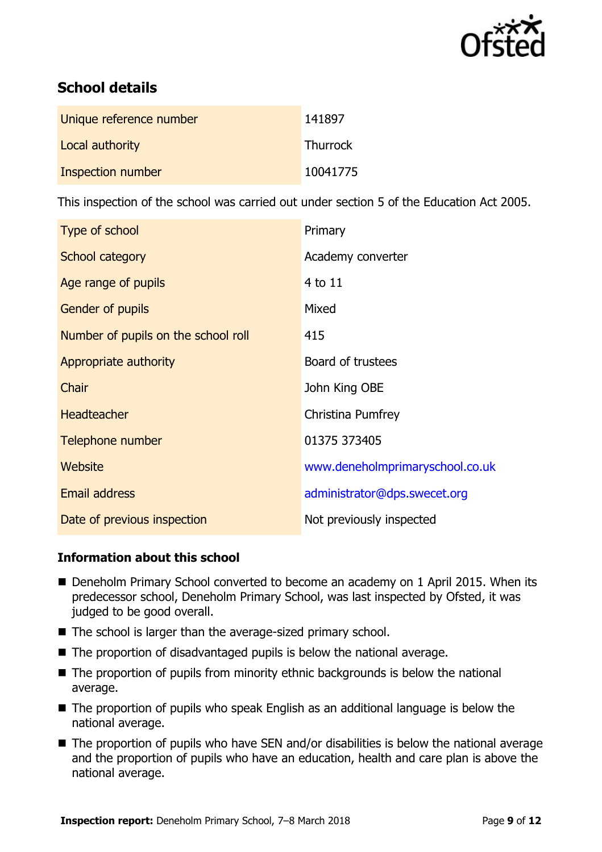

# **School details**

| Unique reference number | 141897          |
|-------------------------|-----------------|
| Local authority         | <b>Thurrock</b> |
| Inspection number       | 10041775        |

This inspection of the school was carried out under section 5 of the Education Act 2005.

| Type of school                      | Primary                         |
|-------------------------------------|---------------------------------|
| School category                     | Academy converter               |
| Age range of pupils                 | 4 to 11                         |
| <b>Gender of pupils</b>             | Mixed                           |
| Number of pupils on the school roll | 415                             |
| Appropriate authority               | Board of trustees               |
| Chair                               | John King OBE                   |
| <b>Headteacher</b>                  | Christina Pumfrey               |
| Telephone number                    | 01375 373405                    |
| Website                             | www.deneholmprimaryschool.co.uk |
| <b>Email address</b>                | administrator@dps.swecet.org    |
| Date of previous inspection         | Not previously inspected        |

## **Information about this school**

- Deneholm Primary School converted to become an academy on 1 April 2015. When its predecessor school, Deneholm Primary School, was last inspected by Ofsted, it was judged to be good overall.
- The school is larger than the average-sized primary school.
- The proportion of disadvantaged pupils is below the national average.
- The proportion of pupils from minority ethnic backgrounds is below the national average.
- The proportion of pupils who speak English as an additional language is below the national average.
- The proportion of pupils who have SEN and/or disabilities is below the national average and the proportion of pupils who have an education, health and care plan is above the national average.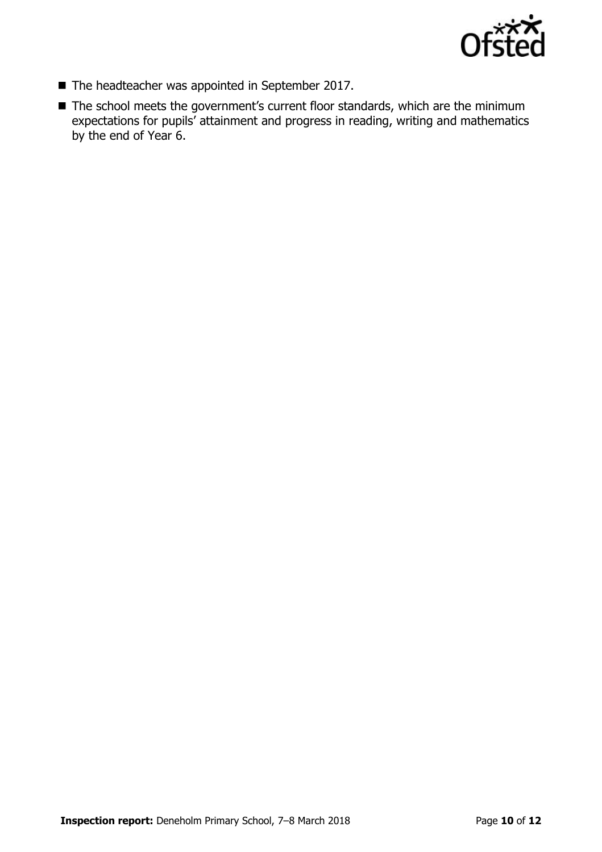

- The headteacher was appointed in September 2017.
- The school meets the government's current floor standards, which are the minimum expectations for pupils' attainment and progress in reading, writing and mathematics by the end of Year 6.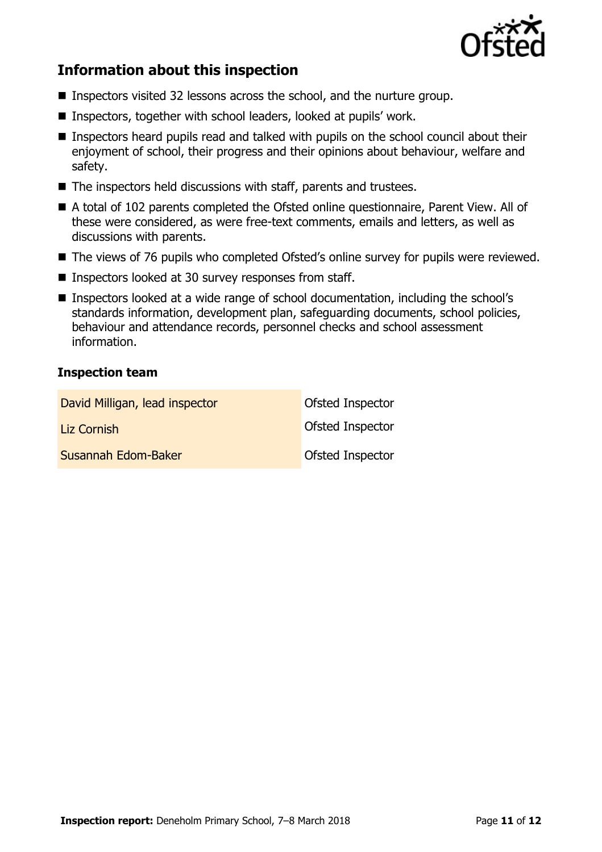

# **Information about this inspection**

- Inspectors visited 32 lessons across the school, and the nurture group.
- Inspectors, together with school leaders, looked at pupils' work.
- **Inspectors heard pupils read and talked with pupils on the school council about their** enjoyment of school, their progress and their opinions about behaviour, welfare and safety.
- The inspectors held discussions with staff, parents and trustees.
- A total of 102 parents completed the Ofsted online questionnaire, Parent View. All of these were considered, as were free-text comments, emails and letters, as well as discussions with parents.
- The views of 76 pupils who completed Ofsted's online survey for pupils were reviewed.
- Inspectors looked at 30 survey responses from staff.
- Inspectors looked at a wide range of school documentation, including the school's standards information, development plan, safeguarding documents, school policies, behaviour and attendance records, personnel checks and school assessment information.

#### **Inspection team**

| David Milligan, lead inspector | <b>Ofsted Inspector</b> |
|--------------------------------|-------------------------|
| Liz Cornish                    | <b>Ofsted Inspector</b> |
| Susannah Edom-Baker            | <b>Ofsted Inspector</b> |